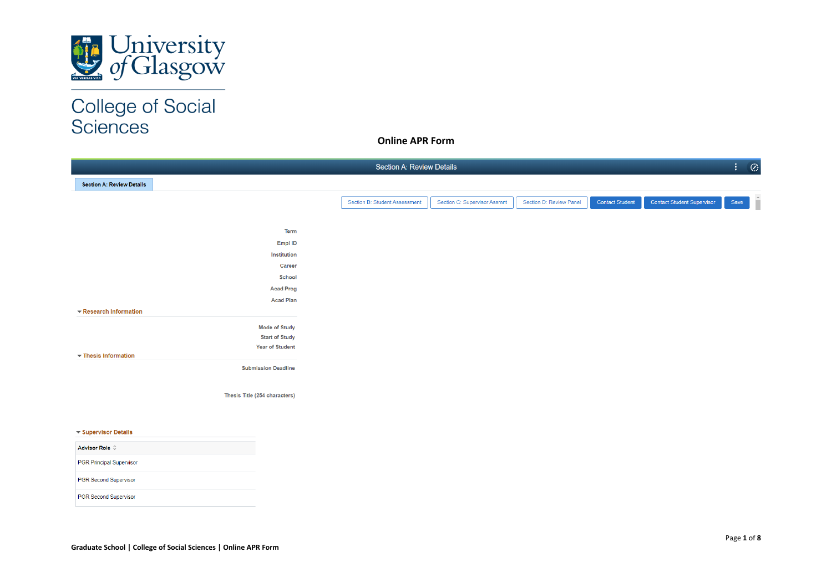

# College of Social Sciences

**Online APR Form**

|                                  | Section A: Review Details     |                              |                         |                        |                                   | ŧ.<br>$\odot$ |
|----------------------------------|-------------------------------|------------------------------|-------------------------|------------------------|-----------------------------------|---------------|
| <b>Section A: Review Details</b> |                               |                              |                         |                        |                                   |               |
|                                  | Section B: Student Assessment | Section C: Supervisor Assmnt | Section D: Review Panel | <b>Contact Student</b> | <b>Contact Student Supervisor</b> | Save          |
|                                  |                               |                              |                         |                        |                                   |               |
| Term                             |                               |                              |                         |                        |                                   |               |
| Empl ID                          |                               |                              |                         |                        |                                   |               |
| Institution                      |                               |                              |                         |                        |                                   |               |
| Career                           |                               |                              |                         |                        |                                   |               |
| School                           |                               |                              |                         |                        |                                   |               |
| <b>Acad Prog</b>                 |                               |                              |                         |                        |                                   |               |
| <b>Acad Plan</b>                 |                               |                              |                         |                        |                                   |               |
| ▼ Research Information           |                               |                              |                         |                        |                                   |               |
| <b>Mode of Study</b>             |                               |                              |                         |                        |                                   |               |
| <b>Start of Study</b>            |                               |                              |                         |                        |                                   |               |
| <b>Year of Student</b>           |                               |                              |                         |                        |                                   |               |
| Thesis Information               |                               |                              |                         |                        |                                   |               |
| <b>Submission Deadline</b>       |                               |                              |                         |                        |                                   |               |
|                                  |                               |                              |                         |                        |                                   |               |
| Thesis Title (254 characters)    |                               |                              |                         |                        |                                   |               |
|                                  |                               |                              |                         |                        |                                   |               |
|                                  |                               |                              |                         |                        |                                   |               |
| ▼ Supervisor Details             |                               |                              |                         |                        |                                   |               |
| Advisor Role $\diamond$          |                               |                              |                         |                        |                                   |               |
| <b>PGR Principal Supervisor</b>  |                               |                              |                         |                        |                                   |               |

PGR Second Supervisor

PGR Second Supervisor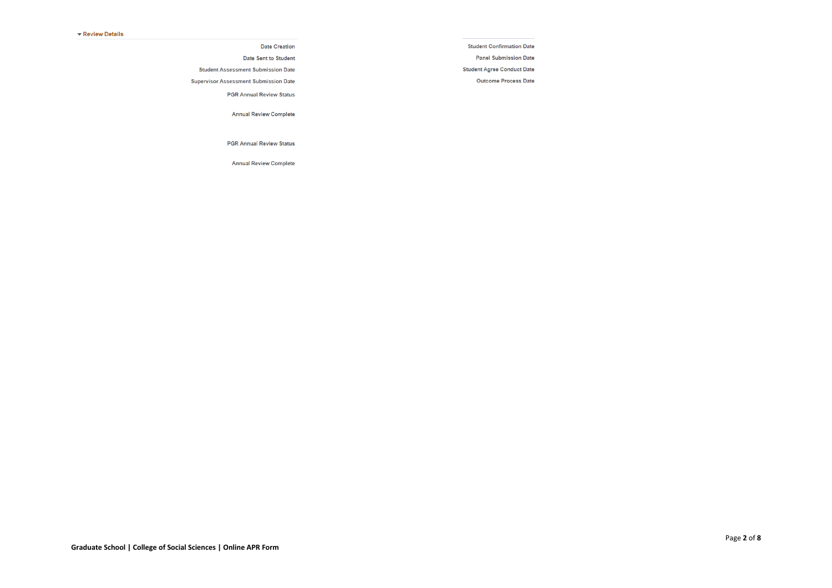## **Date Creation**

Date Sent to Student

**Student Assessment Submission Date** 

**Supervisor Assessment Submission Date** 

**PGR Annual Review Status** 

**Annual Review Complete** 

**PGR Annual Review Status** 

**Annual Review Complete** 

**Student Confirmation Date** 

**Panel Submission Date** 

**Student Agree Conduct Date** 

**Outcome Process Date**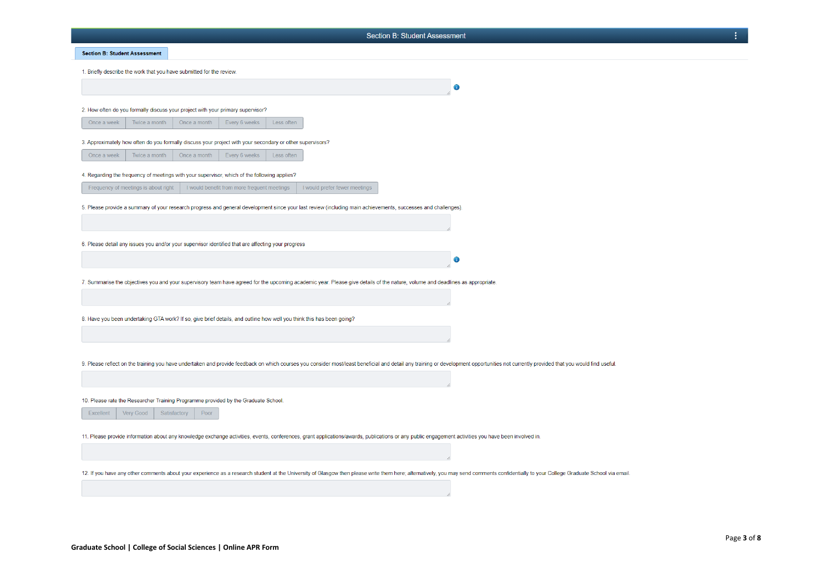| <b>Section B: Student Assessment</b>                                                                                                                                                                                           |
|--------------------------------------------------------------------------------------------------------------------------------------------------------------------------------------------------------------------------------|
| <b>Section B: Student Assessment</b>                                                                                                                                                                                           |
| 1. Briefly describe the work that you have submitted for the review.                                                                                                                                                           |
| 6                                                                                                                                                                                                                              |
| 2. How often do you formally discuss your project with your primary supervisor?                                                                                                                                                |
| Once a week<br>Twice a month<br>Once a month<br>Every 6 weeks<br>Less often                                                                                                                                                    |
| 3. Approximately how often do you formally discuss your project with your secondary or other supervisors?                                                                                                                      |
| Once a week<br>Twice a month<br>Once a month<br>Every 6 weeks<br>Less often                                                                                                                                                    |
| 4. Regarding the frequency of meetings with your supervisor, which of the following applies?<br>I would prefer fewer meetings                                                                                                  |
| Frequency of meetings is about right   I would benefit from more frequent meetings                                                                                                                                             |
| 5. Please provide a summary of your research progress and general development since your last review (including main achievements, successes and challenges).                                                                  |
|                                                                                                                                                                                                                                |
| 6. Please detail any issues you and/or your supervisor identified that are affecting your progress                                                                                                                             |
|                                                                                                                                                                                                                                |
| 7. Summarise the objectives you and your supervisory team have agreed for the upcoming academic year. Please give details of the nature, volume and deadlines as appropriate.                                                  |
|                                                                                                                                                                                                                                |
| 8. Have you been undertaking GTA work? If so, give brief details, and outline how well you think this has been going?                                                                                                          |
|                                                                                                                                                                                                                                |
| 9. Please reflect on the training you have undertaken and provide feedback on which courses you consider most/least beneficial and detail any training or development opportunities not currently provided that you would find |
|                                                                                                                                                                                                                                |
| 10. Please rate the Researcher Training Programme provided by the Graduate School.                                                                                                                                             |
| Very Good<br>Satisfactory<br>Poor<br>Excellent                                                                                                                                                                                 |
| 11. Please provide information about any knowledge exchange activities, events, conferences, grant applications/awards, publications or any public engagement activities you have been involved in.                            |
|                                                                                                                                                                                                                                |
|                                                                                                                                                                                                                                |
| 12. If you have any other comments about your experience as a research student at the University of Glasgow then please write them here; alternatively, you may send comments confidentially to your College Graduate School v |
|                                                                                                                                                                                                                                |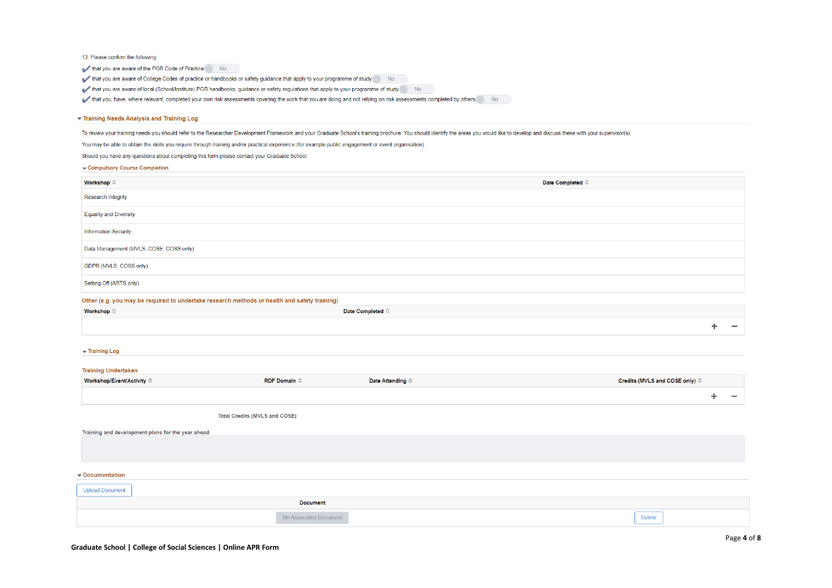13. Please confirm the following:

that you are aware of the PGR Code of Practice No

that you are aware of College Codes of practice or handbooks or safety guidance that apply to your programme of study No

that you are aware of local (School/Institute) PGR handbooks, guidance or safety regulations that apply to your programme of study No No

that you, have, where relevant, completed your own risk assessments covering the work that you are doing and not relying on risk assessments completed by others No

#### Training Needs Analysis and Training Log

To review your training needs you should refer to the Researcher Development Framework and your Graduate School's training brochure. You should identify the areas you would like to develop and discuss these with your super

You may be able to obtain the skills you require through training and/or practical experience (for example public engagement or event organisation).

Should you have any questions about completing this form please contact your Graduate School:

#### Compulsory Course Completion

| <b>Workshop </b> ◇                      | Date Completed $\diamond$ |
|-----------------------------------------|---------------------------|
| Research Integrity                      |                           |
| <b>Equality and Diversity</b>           |                           |
| <b>Information Security</b>             |                           |
| Data Management (MVLS, COSE, COSS only) |                           |
| GDPR (MVLS, COSS only)                  |                           |
| Setting Off (ARTS only)                 |                           |

#### Other (e.g. you may be required to undertake research methods or health and safety training)

| Workshop $\diamond$ | Date Completed $\diamond$ |  |
|---------------------|---------------------------|--|
|                     |                           |  |

#### $\overline{\phantom{a}}$  Training Log

#### **Training Undertaken**

| <b>Workshop/Event/Activity ☆</b> | RDF Domain $\diamond$ | Date Attending $\diamond$ | Credits (MVLS and COSE only) $\diamond$ |
|----------------------------------|-----------------------|---------------------------|-----------------------------------------|
|                                  |                       |                           | $\equiv$                                |

Total Credits (MVLS and COSE)

Training and development plans for the year ahead.

#### $\blacktriangleright$  Documentation

| <b>Document</b> |               |
|-----------------|---------------|
| No.             | <b>Delete</b> |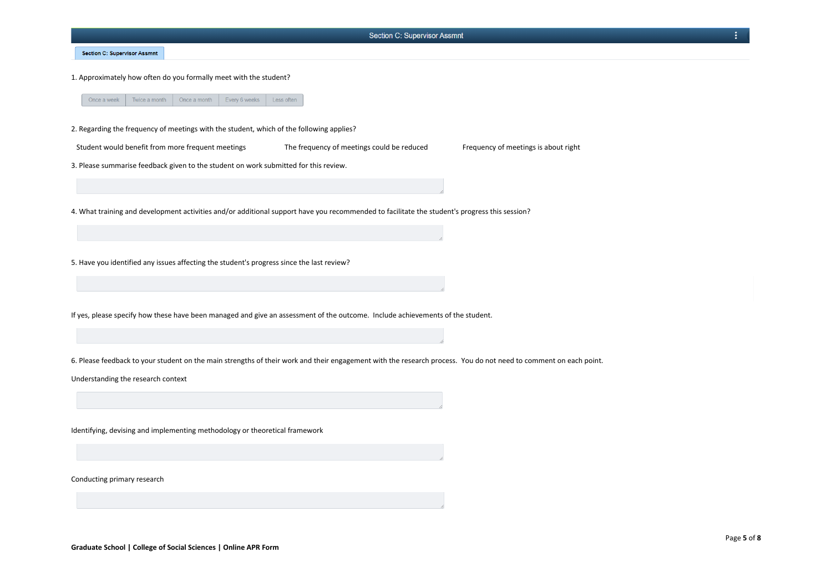| <b>Section C: Supervisor Assmnt</b>                                                                                                                              |
|------------------------------------------------------------------------------------------------------------------------------------------------------------------|
| <b>Section C: Supervisor Assmnt</b>                                                                                                                              |
| 1. Approximately how often do you formally meet with the student?                                                                                                |
| Once a week<br>Twice a month<br>Once a month<br>Every 6 weeks<br>Less often                                                                                      |
| 2. Regarding the frequency of meetings with the student, which of the following applies?                                                                         |
| Student would benefit from more frequent meetings<br>The frequency of meetings could be reduced<br>Frequency of meetings is about right                          |
| 3. Please summarise feedback given to the student on work submitted for this review.                                                                             |
|                                                                                                                                                                  |
| 4. What training and development activities and/or additional support have you recommended to facilitate the student's progress this session?                    |
|                                                                                                                                                                  |
| 5. Have you identified any issues affecting the student's progress since the last review?                                                                        |
|                                                                                                                                                                  |
|                                                                                                                                                                  |
| If yes, please specify how these have been managed and give an assessment of the outcome. Include achievements of the student.                                   |
|                                                                                                                                                                  |
| 6. Please feedback to your student on the main strengths of their work and their engagement with the research process. You do not need to comment on each point. |
| Understanding the research context                                                                                                                               |
|                                                                                                                                                                  |
|                                                                                                                                                                  |
| Identifying, devising and implementing methodology or theoretical framework                                                                                      |
|                                                                                                                                                                  |
| Conducting primary research                                                                                                                                      |
|                                                                                                                                                                  |
|                                                                                                                                                                  |
|                                                                                                                                                                  |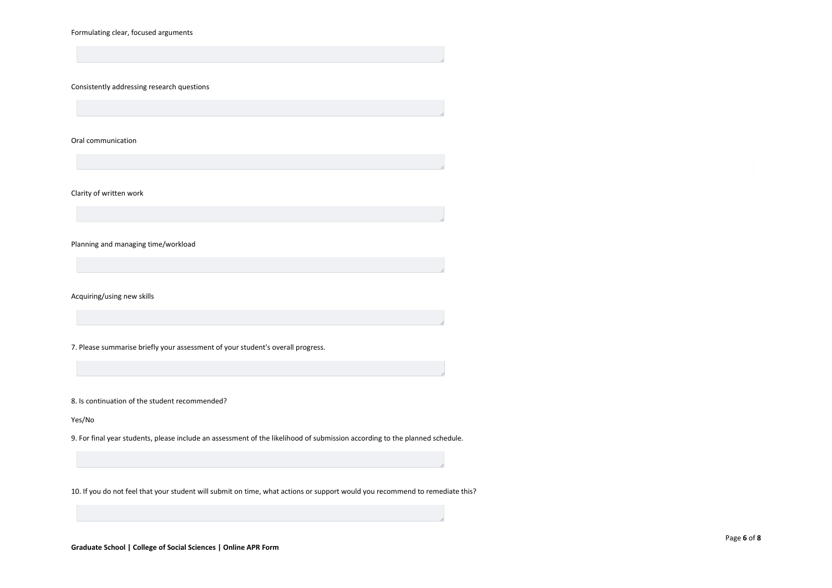Formulating clear, focused arguments

Consistently addressing research questions

Oral communication

Clarity of written work

Planning and managing time/workload

Acquiring/using new skills

7. Please summarise briefly your assessment of your student's overall progress.

8. Is continuation of the student recommended?

Yes/No

9. For final year students, please include an assessment of the likelihood of submission according to the planned schedule.

10. If you do not feel that your student will submit on time, what actions or support would you recommend to remediate this?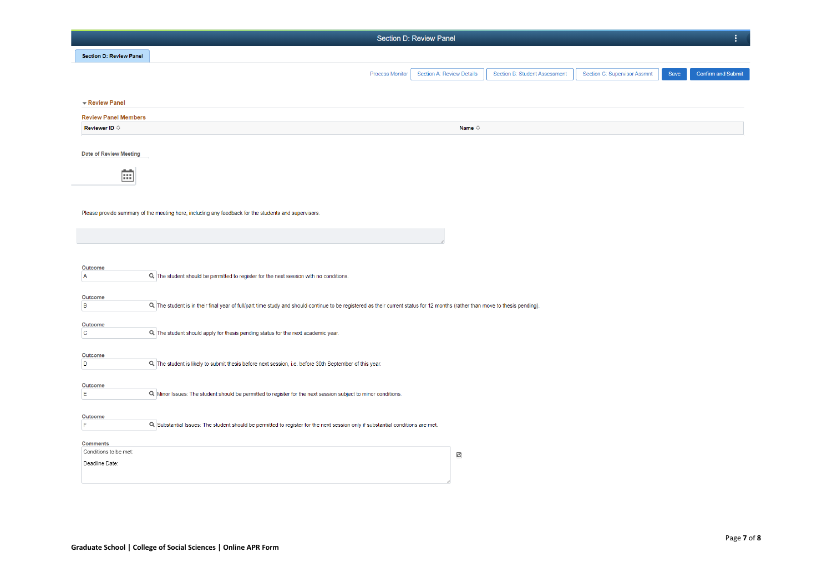| ŧ.<br>Section D: Review Panel            |                                                                                                                                                                                |                           |                                      |                              |      |                           |
|------------------------------------------|--------------------------------------------------------------------------------------------------------------------------------------------------------------------------------|---------------------------|--------------------------------------|------------------------------|------|---------------------------|
| <b>Section D: Review Panel</b>           |                                                                                                                                                                                |                           |                                      |                              |      |                           |
|                                          | <b>Process Monitor</b>                                                                                                                                                         | Section A: Review Details | <b>Section B: Student Assessment</b> | Section C: Supervisor Assmnt | Save | <b>Confirm and Submit</b> |
|                                          |                                                                                                                                                                                |                           |                                      |                              |      |                           |
| <b>- Review Panel</b>                    |                                                                                                                                                                                |                           |                                      |                              |      |                           |
| <b>Review Panel Members</b>              |                                                                                                                                                                                |                           |                                      |                              |      |                           |
| Reviewer ID $\diamond$                   |                                                                                                                                                                                | Name $\diamond$           |                                      |                              |      |                           |
| <b>Date of Review Meeting</b>            |                                                                                                                                                                                |                           |                                      |                              |      |                           |
|                                          |                                                                                                                                                                                |                           |                                      |                              |      |                           |
| 曲                                        |                                                                                                                                                                                |                           |                                      |                              |      |                           |
|                                          |                                                                                                                                                                                |                           |                                      |                              |      |                           |
|                                          | Please provide summary of the meeting here, including any feedback for the students and supervisors.                                                                           |                           |                                      |                              |      |                           |
|                                          |                                                                                                                                                                                |                           |                                      |                              |      |                           |
|                                          |                                                                                                                                                                                |                           |                                      |                              |      |                           |
|                                          |                                                                                                                                                                                |                           |                                      |                              |      |                           |
| Outcome<br>$\overline{A}$                | Q. The student should be permitted to register for the next session with no conditions.                                                                                        |                           |                                      |                              |      |                           |
|                                          |                                                                                                                                                                                |                           |                                      |                              |      |                           |
| Outcome<br>B                             | Q. The student is in their final year of full/part time study and should continue to be registered as their current status for 12 months (rather than move to thesis pending). |                           |                                      |                              |      |                           |
|                                          |                                                                                                                                                                                |                           |                                      |                              |      |                           |
| $\mathbf{C}$                             | Outcome<br>Q. The student should apply for thesis pending status for the next academic year.                                                                                   |                           |                                      |                              |      |                           |
|                                          |                                                                                                                                                                                |                           |                                      |                              |      |                           |
| Outcome<br>D                             | Q. The student is likely to submit thesis before next session, i.e. before 30th September of this year.                                                                        |                           |                                      |                              |      |                           |
|                                          |                                                                                                                                                                                |                           |                                      |                              |      |                           |
| Outcome<br>E                             | Q. Minor Issues: The student should be permitted to register for the next session subject to minor conditions.                                                                 |                           |                                      |                              |      |                           |
|                                          |                                                                                                                                                                                |                           |                                      |                              |      |                           |
| Outcome<br>F.                            | Q. Substantial Issues: The student should be permitted to register for the next session only if substantial conditions are met.                                                |                           |                                      |                              |      |                           |
|                                          |                                                                                                                                                                                |                           |                                      |                              |      |                           |
| <b>Comments</b><br>Conditions to be met: |                                                                                                                                                                                |                           |                                      |                              |      |                           |
| Deadline Date:                           |                                                                                                                                                                                | R                         |                                      |                              |      |                           |
|                                          |                                                                                                                                                                                |                           |                                      |                              |      |                           |